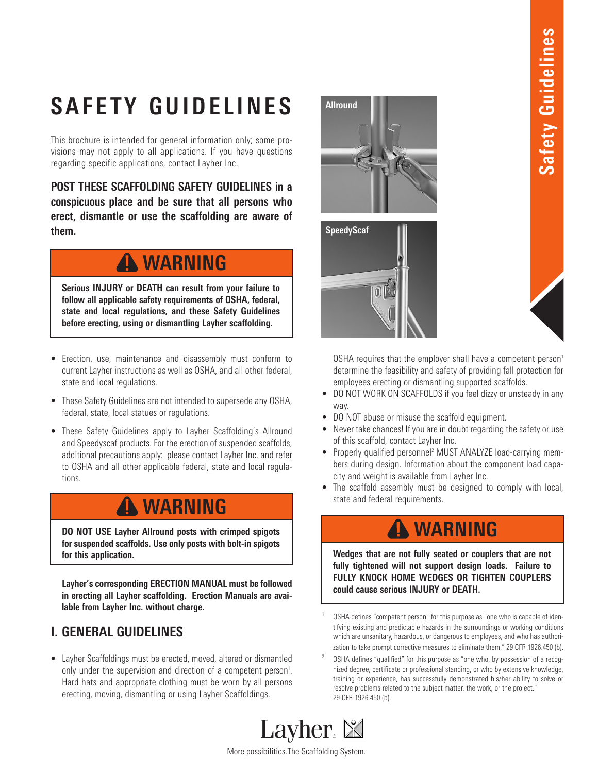# **SAFETY GUIDELINES**

This brochure is intended for general information only; some provisions may not apply to all applications. If you have questions regarding specific applications, contact Layher Inc.

**POST THESE SCAFFOLDING SAFETY GUIDELINES in a conspicuous place and be sure that all persons who erect, dismantle or use the scaffolding are aware of them.**

### **WARNING**

**Serious INJURY or DEATH can result from your failure to follow all applicable safety requirements of OSHA, federal, state and local regulations, and these Safety Guidelines before erecting, using or dismantling Layher scaffolding.**

- Erection, use, maintenance and disassembly must conform to current Layher instructions as well as OSHA, and all other federal, state and local regulations.
- These Safety Guidelines are not intended to supersede any OSHA, federal, state, local statues or regulations.
- These Safety Guidelines apply to Layher Scaffolding's Allround and Speedyscaf products. For the erection of suspended scaffolds, additional precautions apply: please contact Layher Inc. and refer to OSHA and all other applicable federal, state and local regulations.

### **WARNING**

**DO NOT USE Layher Allround posts with crimped spigots for suspended scaffolds. Use only posts with bolt-in spigots for this application.** 

**Layher's corresponding ERECTION MANUAL must be followed in erecting all Layher scaffolding. Erection Manuals are available from Layher Inc. without charge.**

### **I. GENERAL GUIDELINES**

• Layher Scaffoldings must be erected, moved, altered or dismantled only under the supervision and direction of a competent person<sup>1</sup>. Hard hats and appropriate clothing must be worn by all persons erecting, moving, dismantling or using Layher Scaffoldings.





OSHA requires that the employer shall have a competent person<sup>1</sup> determine the feasibility and safety of providing fall protection for employees erecting or dismantling supported scaffolds.

- DO NOT WORK ON SCAFFOLDS if you feel dizzy or unsteady in any way.
- DO NOT abuse or misuse the scaffold equipment.
- Never take chances! If you are in doubt regarding the safety or use of this scaffold, contact Layher Inc.
- Properly qualified personnel<sup>2</sup> MUST ANALYZE load-carrying members during design. Information about the component load capacity and weight is available from Layher Inc.
- The scaffold assembly must be designed to comply with local, state and federal requirements.

### **WARNING**

**Wedges that are not fully seated or couplers that are not fully tightened will not support design loads. Failure to FULLY KNOCK HOME WEDGES OR TIGHTEN COUPLERS could cause serious INJURY or DEATH.**

- 0SHA defines "competent person" for this purpose as "one who is capable of identifying existing and predictable hazards in the surroundings or working conditions which are unsanitary, hazardous, or dangerous to employees, and who has authorization to take prompt corrective measures to eliminate them." 29 CFR 1926.450 (b).
- <sup>2</sup> OSHA defines "qualified" for this purpose as "one who, by possession of a recognized degree, certificate or professional standing, or who by extensive knowledge, training or experience, has successfully demonstrated his/her ability to solve or resolve problems related to the subject matter, the work, or the project." 29 CFR 1926.450 (b).



More possibilities.The Scaffolding System.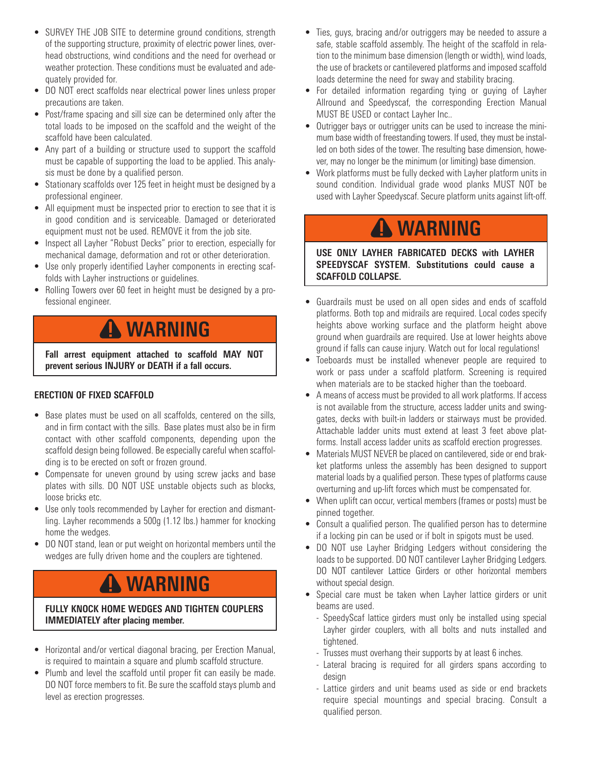- SURVEY THE JOB SITE to determine ground conditions, strength of the supporting structure, proximity of electric power lines, overhead obstructions, wind conditions and the need for overhead or weather protection. These conditions must be evaluated and adequately provided for.
- DO NOT erect scaffolds near electrical power lines unless proper precautions are taken.
- Post/frame spacing and sill size can be determined only after the total loads to be imposed on the scaffold and the weight of the scaffold have been calculated.
- Any part of a building or structure used to support the scaffold must be capable of supporting the load to be applied. This analysis must be done by a qualified person.
- Stationary scaffolds over 125 feet in height must be designed by a professional engineer.
- All equipment must be inspected prior to erection to see that it is in good condition and is serviceable. Damaged or deteriorated equipment must not be used. REMOVE it from the job site.
- Inspect all Layher "Robust Decks" prior to erection, especially for mechanical damage, deformation and rot or other deterioration.
- Use only properly identified Layher components in erecting scaffolds with Layher instructions or guidelines.
- Rolling Towers over 60 feet in height must be designed by a professional engineer.

### **WARNING**

**Fall arrest equipment attached to scaffold MAY NOT prevent serious INJURY or DEATH if a fall occurs.**

#### **ERECTION OF FIXED SCAFFOLD**

- Base plates must be used on all scaffolds, centered on the sills, and in firm contact with the sills. Base plates must also be in firm contact with other scaffold components, depending upon the scaffold design being followed. Be especially careful when scaffolding is to be erected on soft or frozen ground.
- Compensate for uneven ground by using screw jacks and base plates with sills. DO NOT USE unstable objects such as blocks, loose bricks etc.
- Use only tools recommended by Layher for erection and dismantling. Layher recommends a 500g (1.12 lbs.) hammer for knocking home the wedges.
- DO NOT stand, lean or put weight on horizontal members until the wedges are fully driven home and the couplers are tightened.

### **WARNING**

#### **FULLY KNOCK HOME WEDGES AND TIGHTEN COUPLERS IMMEDIATELY after placing member.**

- Horizontal and/or vertical diagonal bracing, per Erection Manual, is required to maintain a square and plumb scaffold structure.
- Plumb and level the scaffold until proper fit can easily be made. DO NOT force members to fit. Be sure the scaffold stays plumb and level as erection progresses.
- Ties, guys, bracing and/or outriggers may be needed to assure a safe, stable scaffold assembly. The height of the scaffold in relation to the minimum base dimension (length or width), wind loads, the use of brackets or cantilevered platforms and imposed scaffold loads determine the need for sway and stability bracing.
- For detailed information regarding tying or guying of Layher Allround and Speedyscaf, the corresponding Erection Manual MUST BE USED or contact Layher Inc..
- Outrigger bays or outrigger units can be used to increase the minimum base width of freestanding towers. If used, they must be installed on both sides of the tower. The resulting base dimension, however, may no longer be the minimum (or limiting) base dimension.
- Work platforms must be fully decked with Layher platform units in sound condition. Individual grade wood planks MUST NOT be used with Layher Speedyscaf. Secure platform units against lift-off.

### **WARNING**

**USE ONLY LAYHER FABRICATED DECKS with LAYHER SPEEDYSCAF SYSTEM. Substitutions could cause a SCAFFOLD COLLAPSE.**

- Guardrails must be used on all open sides and ends of scaffold platforms. Both top and midrails are required. Local codes specify heights above working surface and the platform height above ground when guardrails are required. Use at lower heights above ground if falls can cause injury. Watch out for local regulations!
- Toeboards must be installed whenever people are required to work or pass under a scaffold platform. Screening is required when materials are to be stacked higher than the toeboard.
- A means of access must be provided to all work platforms. If access is not available from the structure, access ladder units and swinggates, decks with built-in ladders or stairways must be provided. Attachable ladder units must extend at least 3 feet above platforms. Install access ladder units as scaffold erection progresses.
- Materials MUST NEVER be placed on cantilevered, side or end brakket platforms unless the assembly has been designed to support material loads by a qualified person. These types of platforms cause overturning and up-lift forces which must be compensated for.
- When uplift can occur, vertical members (frames or posts) must be pinned together.
- Consult a qualified person. The qualified person has to determine if a locking pin can be used or if bolt in spigots must be used.
- DO NOT use Layher Bridging Ledgers without considering the loads to be supported. DO NOT cantilever Layher Bridging Ledgers. DO NOT cantilever Lattice Girders or other horizontal members without special design.
- Special care must be taken when Layher lattice girders or unit beams are used.
	- SpeedyScaf lattice girders must only be installed using special Layher girder couplers, with all bolts and nuts installed and tightened.
	- Trusses must overhang their supports by at least 6 inches.
	- Lateral bracing is required for all girders spans according to design
	- Lattice girders and unit beams used as side or end brackets require special mountings and special bracing. Consult a qualified person.